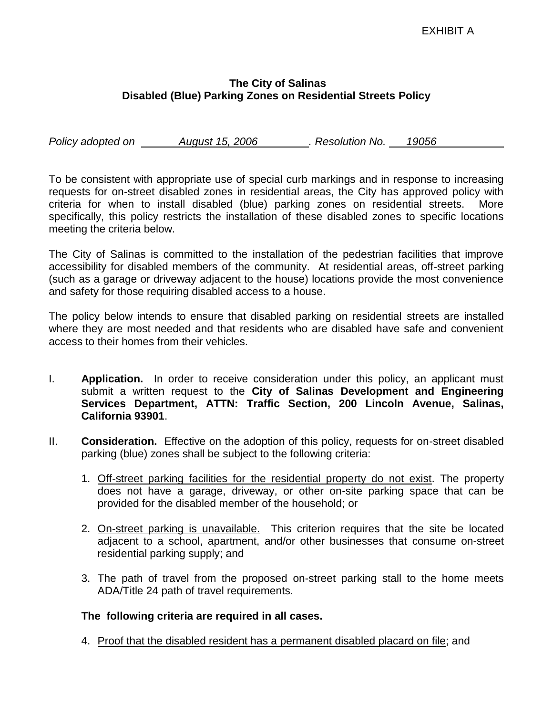## **The City of Salinas Disabled (Blue) Parking Zones on Residential Streets Policy**

*Policy adopted on August 15, 2006 . Resolution No. 19056*

To be consistent with appropriate use of special curb markings and in response to increasing requests for on-street disabled zones in residential areas, the City has approved policy with criteria for when to install disabled (blue) parking zones on residential streets. More specifically, this policy restricts the installation of these disabled zones to specific locations meeting the criteria below.

The City of Salinas is committed to the installation of the pedestrian facilities that improve accessibility for disabled members of the community. At residential areas, off-street parking (such as a garage or driveway adjacent to the house) locations provide the most convenience and safety for those requiring disabled access to a house.

The policy below intends to ensure that disabled parking on residential streets are installed where they are most needed and that residents who are disabled have safe and convenient access to their homes from their vehicles.

- I. **Application.** In order to receive consideration under this policy, an applicant must submit a written request to the **City of Salinas Development and Engineering Services Department, ATTN: Traffic Section, 200 Lincoln Avenue, Salinas, California 93901**.
- II. **Consideration.** Effective on the adoption of this policy, requests for on-street disabled parking (blue) zones shall be subject to the following criteria:
	- 1. Off-street parking facilities for the residential property do not exist. The property does not have a garage, driveway, or other on-site parking space that can be provided for the disabled member of the household; or
	- 2. On-street parking is unavailable. This criterion requires that the site be located adjacent to a school, apartment, and/or other businesses that consume on-street residential parking supply; and
	- 3. The path of travel from the proposed on-street parking stall to the home meets ADA/Title 24 path of travel requirements.

## **The following criteria are required in all cases.**

4. Proof that the disabled resident has a permanent disabled placard on file; and